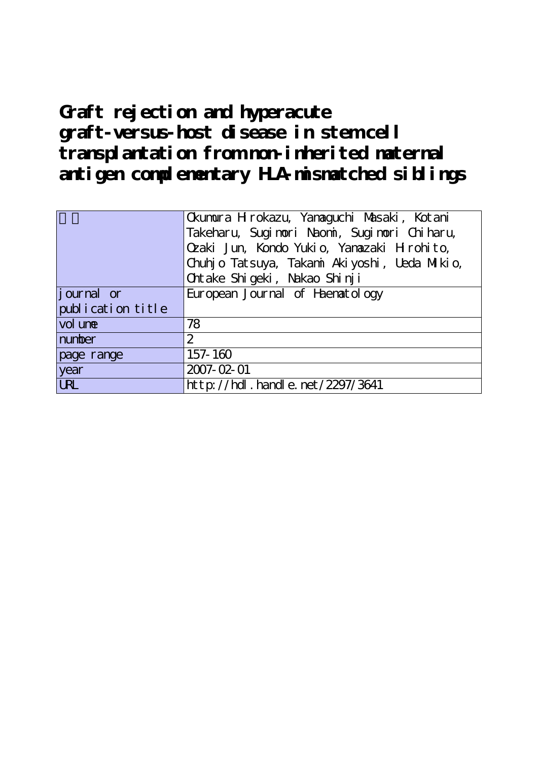# **Graft rejection and hyperacute graft-versus-host disease in stem cell transplantation from non-inherited maternal antigen complementary HLA-mismatched siblings**

|                   | Ckumura Hirokazu, Yanaguchi Masaki, Kotani<br>Takeharu, Suginori Naoni, Suginori Chiharu,<br>Ozaki Jun, Kondo Yukio, Yanazaki Hrohito,<br>Chuhj o Tatsuya, Takani Akiyoshi, Ueda Mikio, |  |  |  |
|-------------------|-----------------------------------------------------------------------------------------------------------------------------------------------------------------------------------------|--|--|--|
|                   | Ontake Shi geki, Nakao Shi nji                                                                                                                                                          |  |  |  |
| journal or        | European Journal of Haenatology                                                                                                                                                         |  |  |  |
| publication title |                                                                                                                                                                                         |  |  |  |
| vol une           | 78                                                                                                                                                                                      |  |  |  |
| number            | $\overline{2}$                                                                                                                                                                          |  |  |  |
| page range        | 157-160                                                                                                                                                                                 |  |  |  |
| year              | 2007-02-01                                                                                                                                                                              |  |  |  |
| <b>URL</b>        | http://hdl.handle.net/2297/3641                                                                                                                                                         |  |  |  |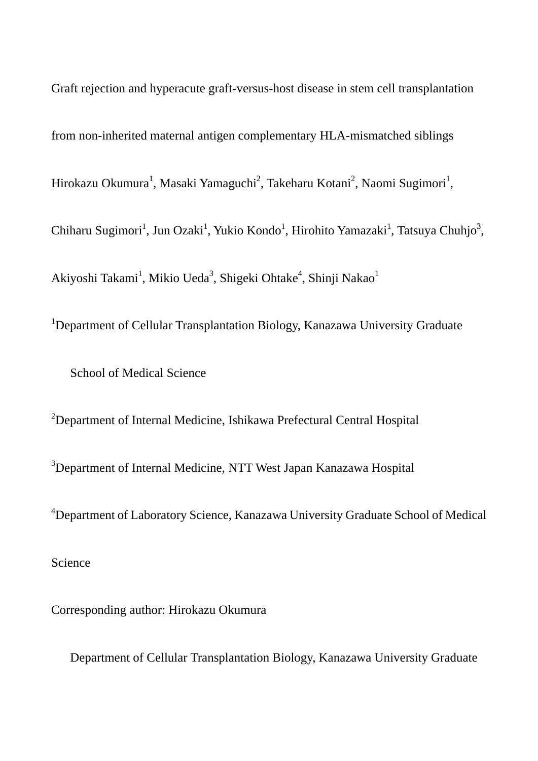Graft rejection and hyperacute graft-versus-host disease in stem cell transplantation from non-inherited maternal antigen complementary HLA-mismatched siblings Hirokazu Okumura<sup>1</sup>, Masaki Yamaguchi<sup>2</sup>, Takeharu Kotani<sup>2</sup>, Naomi Sugimori<sup>1</sup>, Chiharu Sugimori<sup>1</sup>, Jun Ozaki<sup>1</sup>, Yukio Kondo<sup>1</sup>, Hirohito Yamazaki<sup>1</sup>, Tatsuya Chuhjo<sup>3</sup>, Akiyoshi Takami $^1$ , Mikio Ueda $^3$ , Shigeki Ohtake $^4$ , Shinji Nakao $^1$ 

<sup>1</sup>Department of Cellular Transplantation Biology, Kanazawa University Graduate

School of Medical Science

<sup>2</sup>Department of Internal Medicine, Ishikawa Prefectural Central Hospital <sup>3</sup>Department of Internal Medicine, NTT West Japan Kanazawa Hospital <sup>4</sup>Department of Laboratory Science, Kanazawa University Graduate School of Medical Science

Corresponding author: Hirokazu Okumura

Department of Cellular Transplantation Biology, Kanazawa University Graduate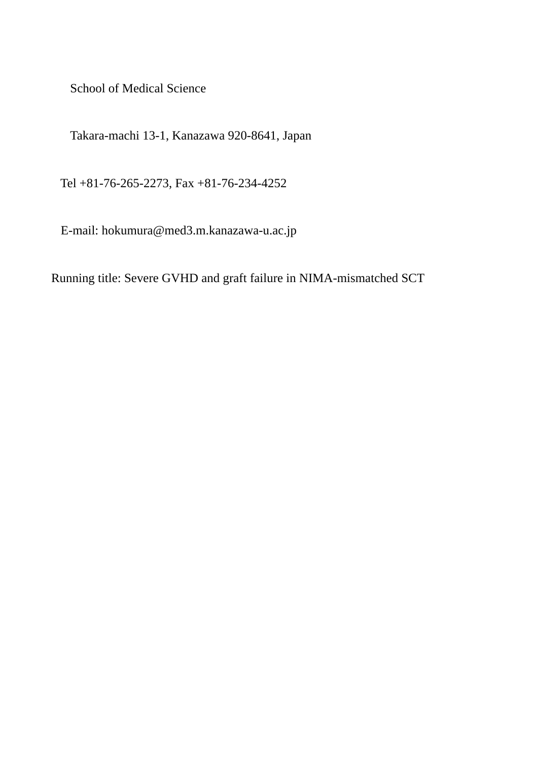School of Medical Science

Takara-machi 13-1, Kanazawa 920-8641, Japan

Tel +81-76-265-2273, Fax +81-76-234-4252

E-mail: hokumura@med3.m.kanazawa-u.ac.jp

Running title: Severe GVHD and graft failure in NIMA-mismatched SCT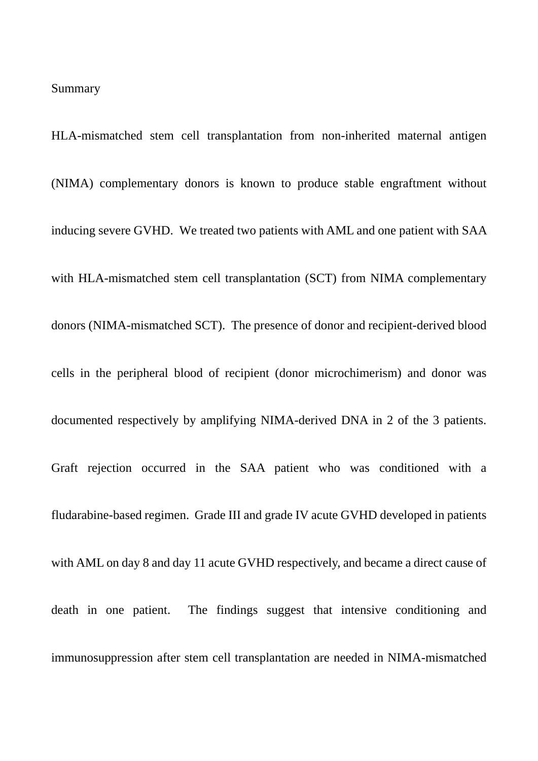#### Summary

HLA-mismatched stem cell transplantation from non-inherited maternal antigen (NIMA) complementary donors is known to produce stable engraftment without inducing severe GVHD. We treated two patients with AML and one patient with SAA with HLA-mismatched stem cell transplantation (SCT) from NIMA complementary donors (NIMA-mismatched SCT). The presence of donor and recipient-derived blood cells in the peripheral blood of recipient (donor microchimerism) and donor was documented respectively by amplifying NIMA-derived DNA in 2 of the 3 patients. Graft rejection occurred in the SAA patient who was conditioned with a fludarabine-based regimen. Grade III and grade IV acute GVHD developed in patients with AML on day 8 and day 11 acute GVHD respectively, and became a direct cause of death in one patient. The findings suggest that intensive conditioning and immunosuppression after stem cell transplantation are needed in NIMA-mismatched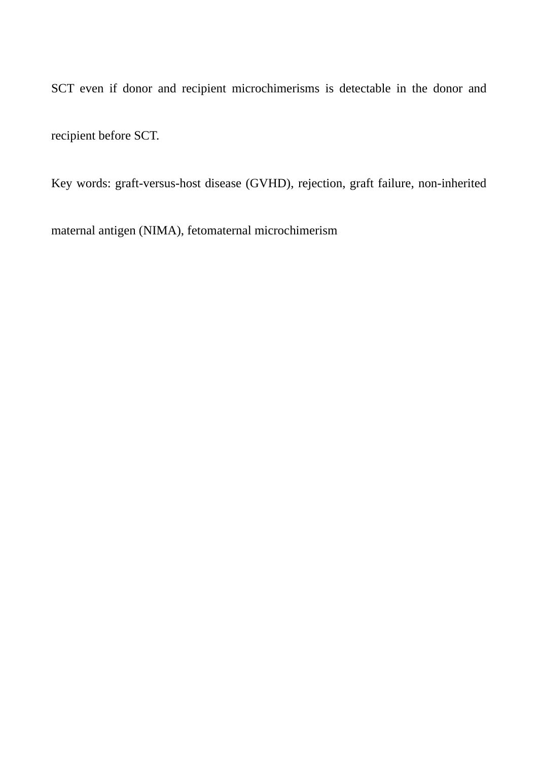SCT even if donor and recipient microchimerisms is detectable in the donor and recipient before SCT.

Key words: graft-versus-host disease (GVHD), rejection, graft failure, non-inherited

maternal antigen (NIMA), fetomaternal microchimerism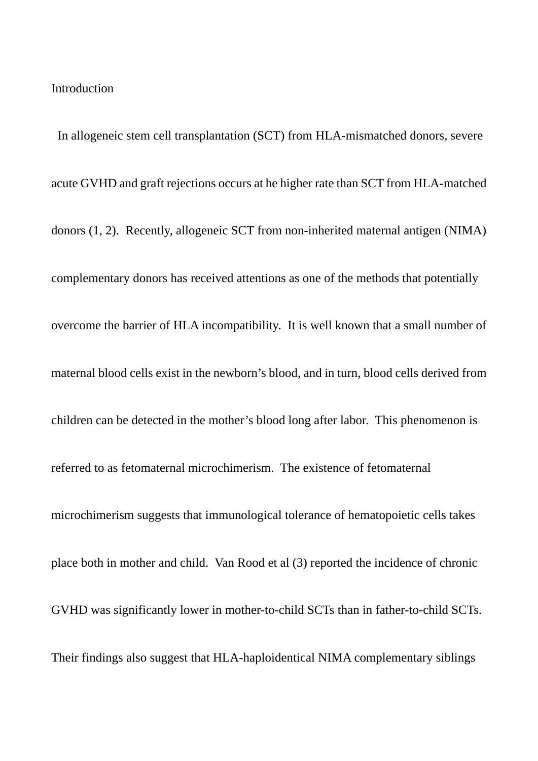## Introduction

 In allogeneic stem cell transplantation (SCT) from HLA-mismatched donors, severe acute GVHD and graft rejections occurs at he higher rate than SCT from HLA-matched donors (1, 2). Recently, allogeneic SCT from non-inherited maternal antigen (NIMA) complementary donors has received attentions as one of the methods that potentially overcome the barrier of HLA incompatibility. It is well known that a small number of maternal blood cells exist in the newborn's blood, and in turn, blood cells derived from children can be detected in the mother's blood long after labor. This phenomenon is referred to as fetomaternal microchimerism. The existence of fetomaternal microchimerism suggests that immunological tolerance of hematopoietic cells takes place both in mother and child. Van Rood et al (3) reported the incidence of chronic GVHD was significantly lower in mother-to-child SCTs than in father-to-child SCTs. Their findings also suggest that HLA-haploidentical NIMA complementary siblings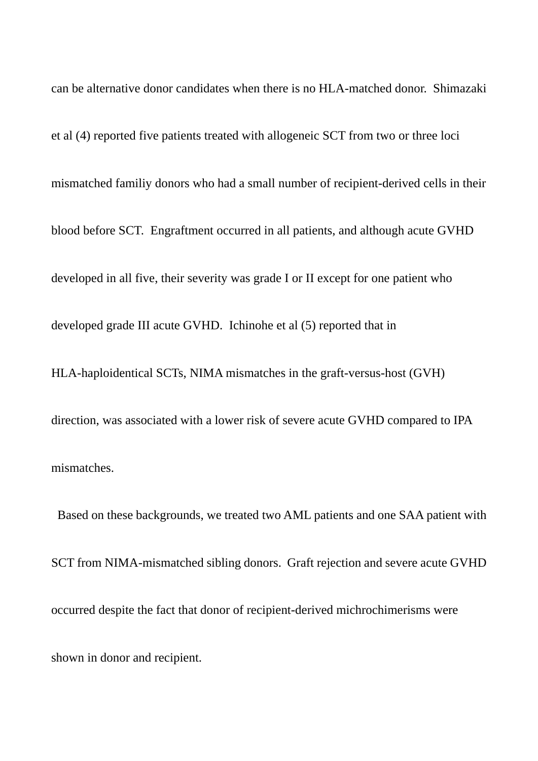can be alternative donor candidates when there is no HLA-matched donor. Shimazaki et al (4) reported five patients treated with allogeneic SCT from two or three loci mismatched familiy donors who had a small number of recipient-derived cells in their blood before SCT. Engraftment occurred in all patients, and although acute GVHD developed in all five, their severity was grade I or II except for one patient who developed grade III acute GVHD. Ichinohe et al (5) reported that in HLA-haploidentical SCTs, NIMA mismatches in the graft-versus-host (GVH) direction, was associated with a lower risk of severe acute GVHD compared to IPA mismatches.

 Based on these backgrounds, we treated two AML patients and one SAA patient with SCT from NIMA-mismatched sibling donors. Graft rejection and severe acute GVHD occurred despite the fact that donor of recipient-derived michrochimerisms were shown in donor and recipient.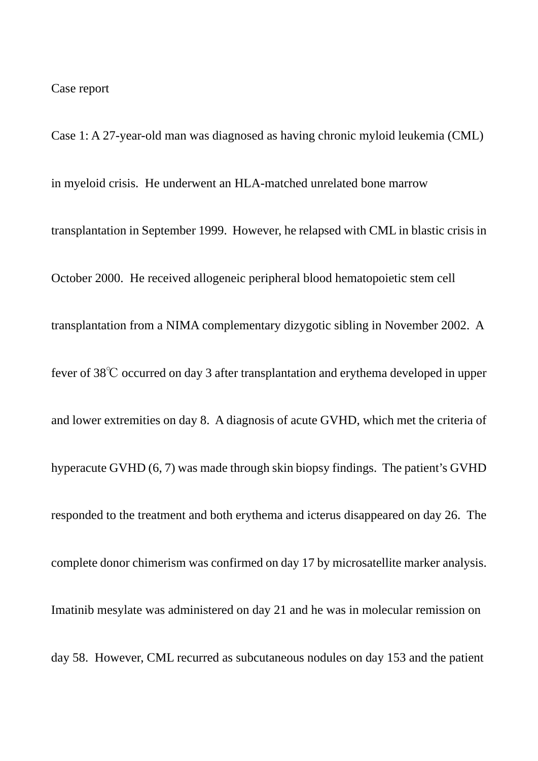#### Case report

Case 1: A 27-year-old man was diagnosed as having chronic myloid leukemia (CML) in myeloid crisis. He underwent an HLA-matched unrelated bone marrow transplantation in September 1999. However, he relapsed with CML in blastic crisis in October 2000. He received allogeneic peripheral blood hematopoietic stem cell transplantation from a NIMA complementary dizygotic sibling in November 2002. A fever of 38℃ occurred on day 3 after transplantation and erythema developed in upper and lower extremities on day 8. A diagnosis of acute GVHD, which met the criteria of hyperacute GVHD (6, 7) was made through skin biopsy findings. The patient's GVHD responded to the treatment and both erythema and icterus disappeared on day 26. The complete donor chimerism was confirmed on day 17 by microsatellite marker analysis. Imatinib mesylate was administered on day 21 and he was in molecular remission on day 58. However, CML recurred as subcutaneous nodules on day 153 and the patient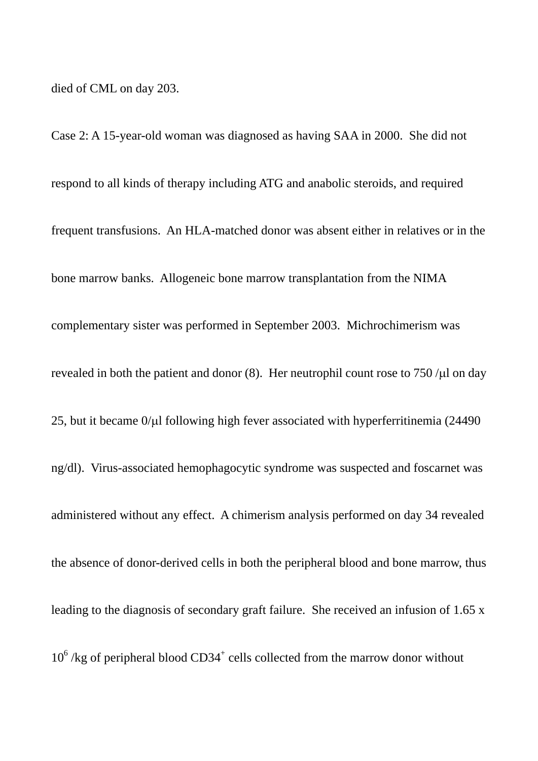died of CML on day 203.

Case 2: A 15-year-old woman was diagnosed as having SAA in 2000. She did not respond to all kinds of therapy including ATG and anabolic steroids, and required frequent transfusions. An HLA-matched donor was absent either in relatives or in the bone marrow banks. Allogeneic bone marrow transplantation from the NIMA complementary sister was performed in September 2003. Michrochimerism was revealed in both the patient and donor (8). Her neutrophil count rose to  $750 / \mu$ l on day 25, but it became 0/μl following high fever associated with hyperferritinemia (24490 ng/dl). Virus-associated hemophagocytic syndrome was suspected and foscarnet was administered without any effect. A chimerism analysis performed on day 34 revealed the absence of donor-derived cells in both the peripheral blood and bone marrow, thus leading to the diagnosis of secondary graft failure. She received an infusion of 1.65 x  $10^6$  /kg of peripheral blood CD34<sup>+</sup> cells collected from the marrow donor without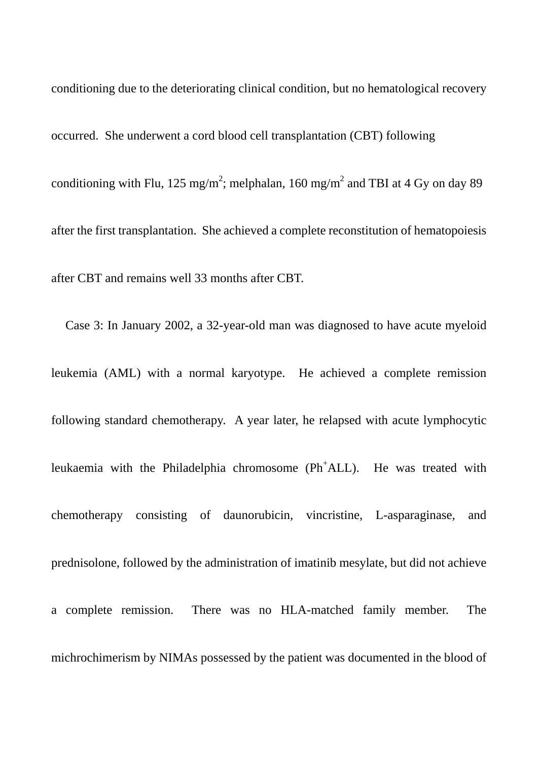conditioning due to the deteriorating clinical condition, but no hematological recovery occurred. She underwent a cord blood cell transplantation (CBT) following conditioning with Flu, 125 mg/m<sup>2</sup>; melphalan, 160 mg/m<sup>2</sup> and TBI at 4 Gy on day 89 after the first transplantation. She achieved a complete reconstitution of hematopoiesis after CBT and remains well 33 months after CBT.

Case 3: In January 2002, a 32-year-old man was diagnosed to have acute myeloid leukemia (AML) with a normal karyotype. He achieved a complete remission following standard chemotherapy. A year later, he relapsed with acute lymphocytic leukaemia with the Philadelphia chromosome (Ph<sup>+</sup>ALL). He was treated with chemotherapy consisting of daunorubicin, vincristine, L-asparaginase, and prednisolone, followed by the administration of imatinib mesylate, but did not achieve a complete remission. There was no HLA-matched family member. The michrochimerism by NIMAs possessed by the patient was documented in the blood of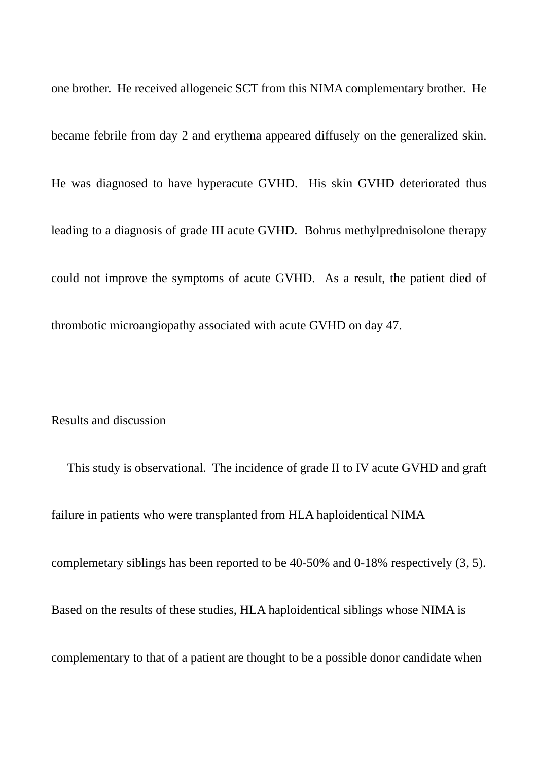one brother. He received allogeneic SCT from this NIMA complementary brother. He became febrile from day 2 and erythema appeared diffusely on the generalized skin. He was diagnosed to have hyperacute GVHD. His skin GVHD deteriorated thus leading to a diagnosis of grade III acute GVHD. Bohrus methylprednisolone therapy could not improve the symptoms of acute GVHD. As a result, the patient died of thrombotic microangiopathy associated with acute GVHD on day 47.

Results and discussion

This study is observational. The incidence of grade II to IV acute GVHD and graft failure in patients who were transplanted from HLA haploidentical NIMA complemetary siblings has been reported to be 40-50% and 0-18% respectively (3, 5). Based on the results of these studies, HLA haploidentical siblings whose NIMA is complementary to that of a patient are thought to be a possible donor candidate when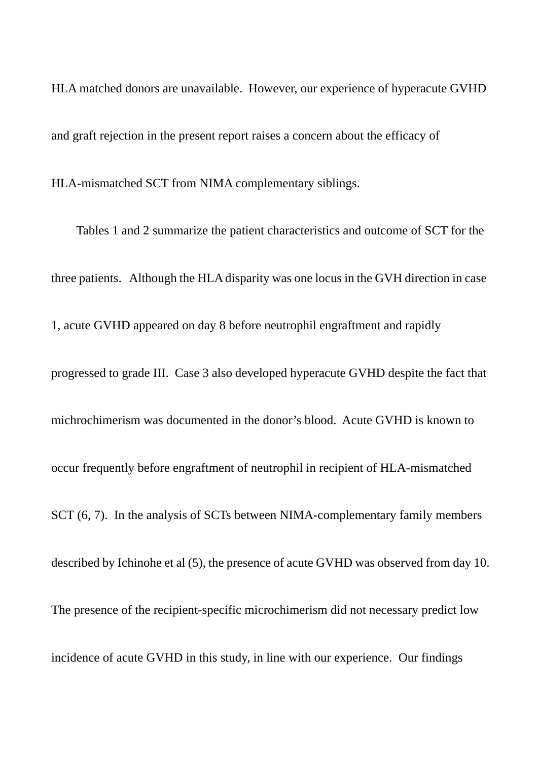HLA matched donors are unavailable. However, our experience of hyperacute GVHD and graft rejection in the present report raises a concern about the efficacy of

HLA-mismatched SCT from NIMA complementary siblings.

 Tables 1 and 2 summarize the patient characteristics and outcome of SCT for the three patients. Although the HLA disparity was one locus in the GVH direction in case 1, acute GVHD appeared on day 8 before neutrophil engraftment and rapidly progressed to grade III. Case 3 also developed hyperacute GVHD despite the fact that michrochimerism was documented in the donor's blood. Acute GVHD is known to occur frequently before engraftment of neutrophil in recipient of HLA-mismatched SCT (6, 7). In the analysis of SCTs between NIMA-complementary family members described by Ichinohe et al (5), the presence of acute GVHD was observed from day 10. The presence of the recipient-specific microchimerism did not necessary predict low incidence of acute GVHD in this study, in line with our experience. Our findings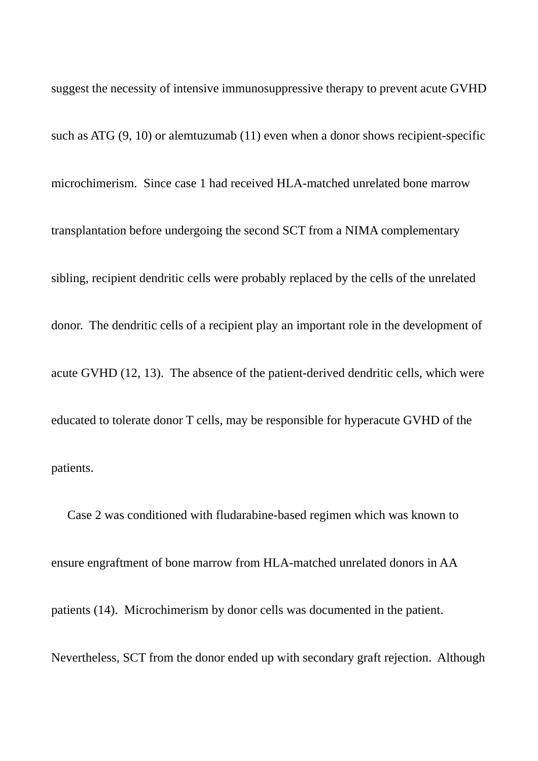suggest the necessity of intensive immunosuppressive therapy to prevent acute GVHD such as ATG (9, 10) or alemtuzumab (11) even when a donor shows recipient-specific microchimerism. Since case 1 had received HLA-matched unrelated bone marrow transplantation before undergoing the second SCT from a NIMA complementary sibling, recipient dendritic cells were probably replaced by the cells of the unrelated donor. The dendritic cells of a recipient play an important role in the development of acute GVHD (12, 13). The absence of the patient-derived dendritic cells, which were educated to tolerate donor T cells, may be responsible for hyperacute GVHD of the patients.

Case 2 was conditioned with fludarabine-based regimen which was known to ensure engraftment of bone marrow from HLA-matched unrelated donors in AA patients (14). Microchimerism by donor cells was documented in the patient. Nevertheless, SCT from the donor ended up with secondary graft rejection. Although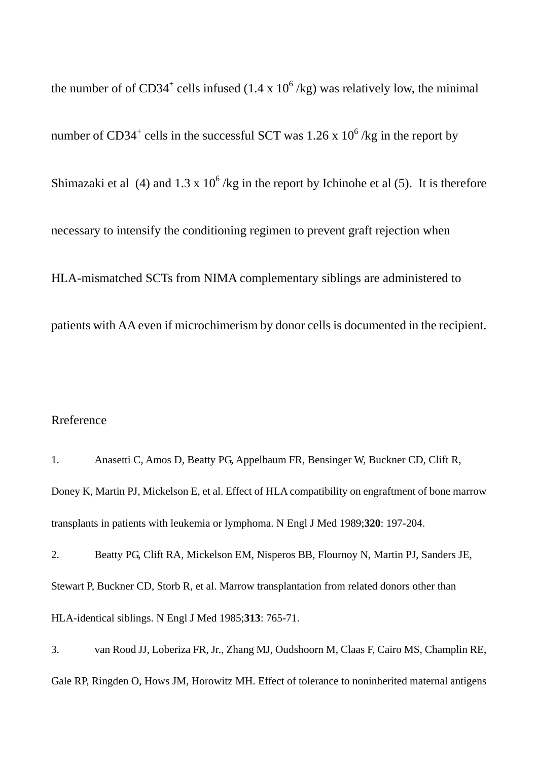the number of of CD34<sup>+</sup> cells infused (1.4 x  $10^6$  /kg) was relatively low, the minimal number of CD34<sup>+</sup> cells in the successful SCT was 1.26 x  $10^6$ /kg in the report by Shimazaki et al (4) and 1.3 x  $10^6$ /kg in the report by Ichinohe et al (5). It is therefore necessary to intensify the conditioning regimen to prevent graft rejection when HLA-mismatched SCTs from NIMA complementary siblings are administered to patients with AA even if microchimerism by donor cells is documented in the recipient.

## Rreference

1. Anasetti C, Amos D, Beatty PG, Appelbaum FR, Bensinger W, Buckner CD, Clift R, Doney K, Martin PJ, Mickelson E, et al. Effect of HLA compatibility on engraftment of bone marrow transplants in patients with leukemia or lymphoma. N Engl J Med 1989;**320**: 197-204.

2. Beatty PG, Clift RA, Mickelson EM, Nisperos BB, Flournoy N, Martin PJ, Sanders JE, Stewart P, Buckner CD, Storb R, et al. Marrow transplantation from related donors other than HLA-identical siblings. N Engl J Med 1985;**313**: 765-71.

3. van Rood JJ, Loberiza FR, Jr., Zhang MJ, Oudshoorn M, Claas F, Cairo MS, Champlin RE, Gale RP, Ringden O, Hows JM, Horowitz MH. Effect of tolerance to noninherited maternal antigens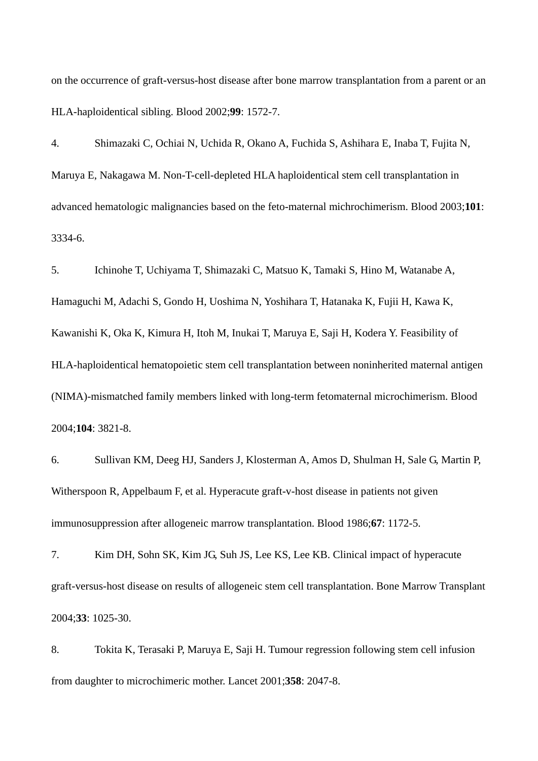on the occurrence of graft-versus-host disease after bone marrow transplantation from a parent or an HLA-haploidentical sibling. Blood 2002;**99**: 1572-7.

4. Shimazaki C, Ochiai N, Uchida R, Okano A, Fuchida S, Ashihara E, Inaba T, Fujita N, Maruya E, Nakagawa M. Non-T-cell-depleted HLA haploidentical stem cell transplantation in advanced hematologic malignancies based on the feto-maternal michrochimerism. Blood 2003;**101**: 3334-6.

5. Ichinohe T, Uchiyama T, Shimazaki C, Matsuo K, Tamaki S, Hino M, Watanabe A, Hamaguchi M, Adachi S, Gondo H, Uoshima N, Yoshihara T, Hatanaka K, Fujii H, Kawa K, Kawanishi K, Oka K, Kimura H, Itoh M, Inukai T, Maruya E, Saji H, Kodera Y. Feasibility of HLA-haploidentical hematopoietic stem cell transplantation between noninherited maternal antigen (NIMA)-mismatched family members linked with long-term fetomaternal microchimerism. Blood 2004;**104**: 3821-8.

6. Sullivan KM, Deeg HJ, Sanders J, Klosterman A, Amos D, Shulman H, Sale G, Martin P, Witherspoon R, Appelbaum F, et al. Hyperacute graft-v-host disease in patients not given immunosuppression after allogeneic marrow transplantation. Blood 1986;**67**: 1172-5.

7. Kim DH, Sohn SK, Kim JG, Suh JS, Lee KS, Lee KB. Clinical impact of hyperacute graft-versus-host disease on results of allogeneic stem cell transplantation. Bone Marrow Transplant 2004;**33**: 1025-30.

8. Tokita K, Terasaki P, Maruya E, Saji H. Tumour regression following stem cell infusion from daughter to microchimeric mother. Lancet 2001;**358**: 2047-8.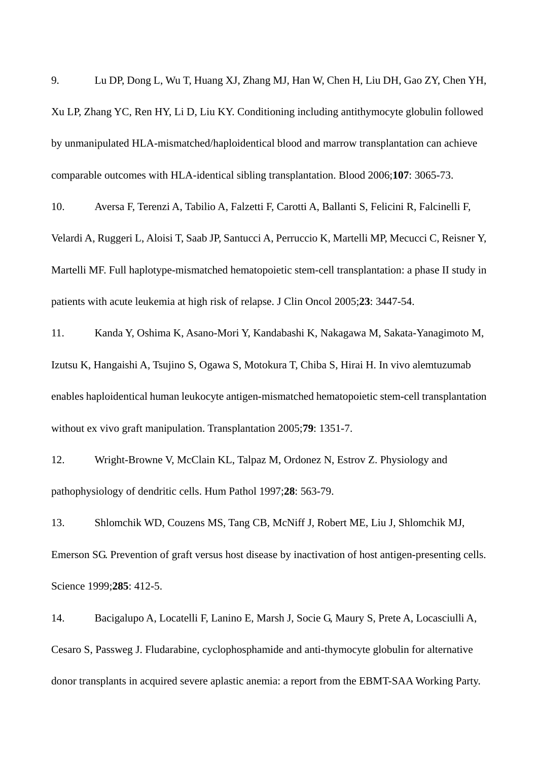9. Lu DP, Dong L, Wu T, Huang XJ, Zhang MJ, Han W, Chen H, Liu DH, Gao ZY, Chen YH, Xu LP, Zhang YC, Ren HY, Li D, Liu KY. Conditioning including antithymocyte globulin followed by unmanipulated HLA-mismatched/haploidentical blood and marrow transplantation can achieve comparable outcomes with HLA-identical sibling transplantation. Blood 2006;**107**: 3065-73.

10. Aversa F, Terenzi A, Tabilio A, Falzetti F, Carotti A, Ballanti S, Felicini R, Falcinelli F, Velardi A, Ruggeri L, Aloisi T, Saab JP, Santucci A, Perruccio K, Martelli MP, Mecucci C, Reisner Y, Martelli MF. Full haplotype-mismatched hematopoietic stem-cell transplantation: a phase II study in patients with acute leukemia at high risk of relapse. J Clin Oncol 2005;**23**: 3447-54.

11. Kanda Y, Oshima K, Asano-Mori Y, Kandabashi K, Nakagawa M, Sakata-Yanagimoto M, Izutsu K, Hangaishi A, Tsujino S, Ogawa S, Motokura T, Chiba S, Hirai H. In vivo alemtuzumab enables haploidentical human leukocyte antigen-mismatched hematopoietic stem-cell transplantation without ex vivo graft manipulation. Transplantation 2005;**79**: 1351-7.

12. Wright-Browne V, McClain KL, Talpaz M, Ordonez N, Estrov Z. Physiology and pathophysiology of dendritic cells. Hum Pathol 1997;**28**: 563-79.

13. Shlomchik WD, Couzens MS, Tang CB, McNiff J, Robert ME, Liu J, Shlomchik MJ, Emerson SG. Prevention of graft versus host disease by inactivation of host antigen-presenting cells. Science 1999;**285**: 412-5.

14. Bacigalupo A, Locatelli F, Lanino E, Marsh J, Socie G, Maury S, Prete A, Locasciulli A, Cesaro S, Passweg J. Fludarabine, cyclophosphamide and anti-thymocyte globulin for alternative donor transplants in acquired severe aplastic anemia: a report from the EBMT-SAA Working Party.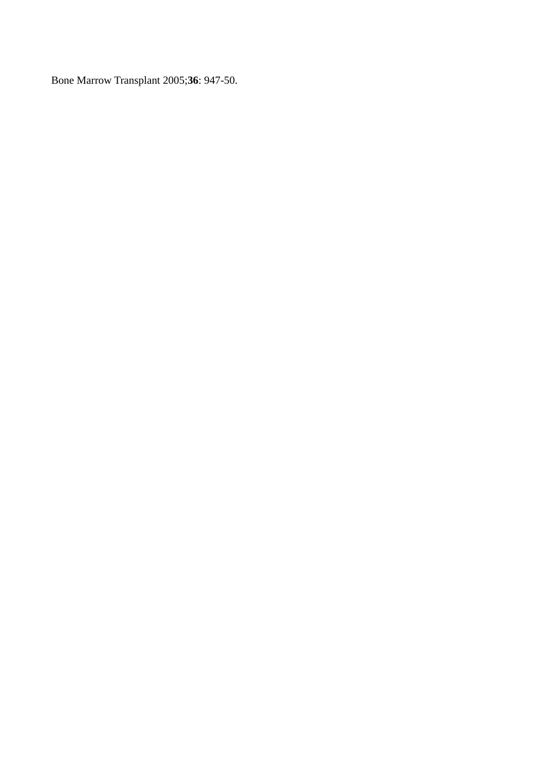Bone Marrow Transplant 2005;**36**: 947-50.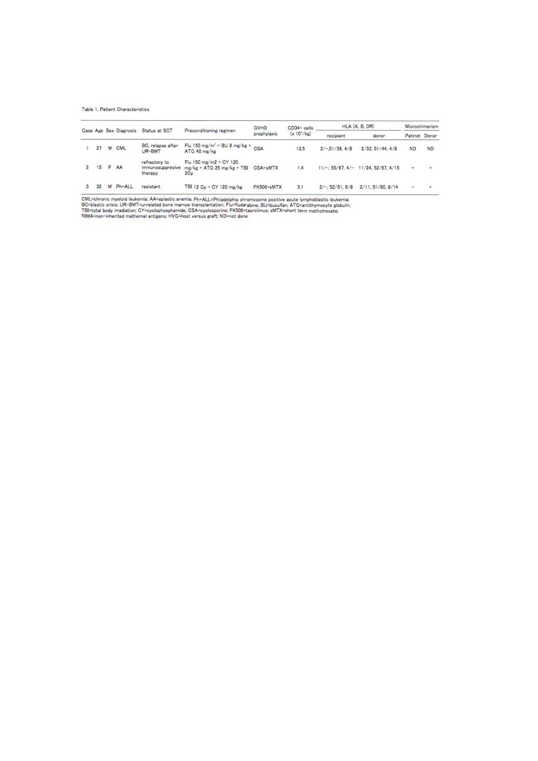Table 1. Patient Characteristics

|  |    | Case Age Sex Diagnosis |        |                                              | Preconditioning regimen                                                | GVHD<br>prophylaxis | $CD34 +$ cells<br>$(x 10^{\circ}/kg)$ | HLA (A, B, DR)     |                                           | <b>Microchimerism</b> |           |
|--|----|------------------------|--------|----------------------------------------------|------------------------------------------------------------------------|---------------------|---------------------------------------|--------------------|-------------------------------------------|-----------------------|-----------|
|  |    |                        |        | Status at SCT                                |                                                                        |                     |                                       | recipient          | donor                                     | Patinet Donor         |           |
|  | 27 |                        | M CML  | BC, relapse after<br>UR-BMT                  | Flu 150 mg/m <sup>2</sup> + BU 8 mg/kg + $CSA$<br>ATG 40 mg/kg         |                     | 12.5                                  | $2/-.51/38.4/8$    | 2/33.51/44.4/8                            | ND                    | <b>ND</b> |
|  |    | $15$ F                 | AA     | refractory to<br>immunosuppresive<br>therapy | Flu 150 mg/m2 + CY 120<br>$mg/kg + ATG$ 25 mg/kg + TBI CSA+sMTX<br>2Gv |                     | 1.4                                   |                    | $11/-$ , 55/67, 4/- $11/24$ , 52/67, 4/15 |                       |           |
|  | 32 | M                      | Ph+ALL | resistant                                    | TBI 12 Gv + CY 120 mg/kg                                               | FK506+sMTX          | 3.1                                   | $2/-$ , 52/51, 9/8 | 2/11.51/60.8/14                           | u.                    |           |

CML=ohronic myeloid leukemia; AA=aplastic anemia; Ph+ALL=Philadelphia chromosome positive acute lymphoblastic leukemia;<br>BC=blastic crisis; UR-BMT=unrelated bone marrow transplantation; Flu=fludarabine; BU=busulfan; ATG=an